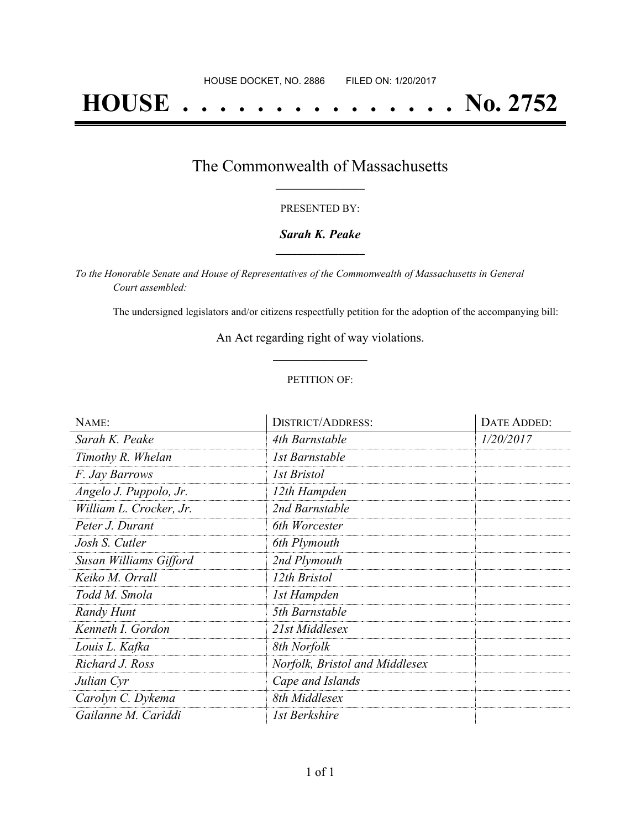# **HOUSE . . . . . . . . . . . . . . . No. 2752**

### The Commonwealth of Massachusetts **\_\_\_\_\_\_\_\_\_\_\_\_\_\_\_\_\_**

#### PRESENTED BY:

#### *Sarah K. Peake* **\_\_\_\_\_\_\_\_\_\_\_\_\_\_\_\_\_**

*To the Honorable Senate and House of Representatives of the Commonwealth of Massachusetts in General Court assembled:*

The undersigned legislators and/or citizens respectfully petition for the adoption of the accompanying bill:

An Act regarding right of way violations. **\_\_\_\_\_\_\_\_\_\_\_\_\_\_\_**

#### PETITION OF:

| NAME:                   | <b>DISTRICT/ADDRESS:</b>       | DATE ADDED: |
|-------------------------|--------------------------------|-------------|
| Sarah K. Peake          | 4th Barnstable                 | 1/20/2017   |
| Timothy R. Whelan       | 1st Barnstable                 |             |
| F. Jay Barrows          | <i>Ist Bristol</i>             |             |
| Angelo J. Puppolo, Jr.  | 12th Hampden                   |             |
| William L. Crocker, Jr. | 2nd Barnstable                 |             |
| Peter J. Durant         | 6th Worcester                  |             |
| Josh S. Cutler          | 6th Plymouth                   |             |
| Susan Williams Gifford  | 2nd Plymouth                   |             |
| Keiko M. Orrall         | 12th Bristol                   |             |
| Todd M. Smola           | 1st Hampden                    |             |
| Randy Hunt              | 5th Barnstable                 |             |
| Kenneth I. Gordon       | 21st Middlesex                 |             |
| Louis L. Kafka          | 8th Norfolk                    |             |
| Richard J. Ross         | Norfolk, Bristol and Middlesex |             |
| Julian Cyr              | Cape and Islands               |             |
| Carolyn C. Dykema       | 8th Middlesex                  |             |
| Gailanne M. Cariddi     | 1st Berkshire                  |             |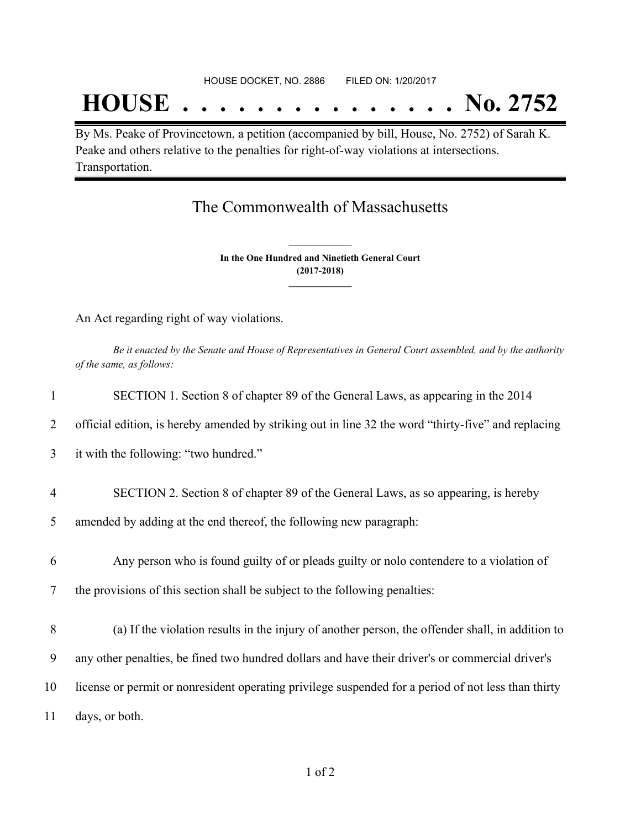## **HOUSE . . . . . . . . . . . . . . . No. 2752**

By Ms. Peake of Provincetown, a petition (accompanied by bill, House, No. 2752) of Sarah K. Peake and others relative to the penalties for right-of-way violations at intersections. Transportation.

## The Commonwealth of Massachusetts

**In the One Hundred and Ninetieth General Court (2017-2018) \_\_\_\_\_\_\_\_\_\_\_\_\_\_\_**

**\_\_\_\_\_\_\_\_\_\_\_\_\_\_\_**

An Act regarding right of way violations.

Be it enacted by the Senate and House of Representatives in General Court assembled, and by the authority *of the same, as follows:*

| 1              | SECTION 1. Section 8 of chapter 89 of the General Laws, as appearing in the 2014                    |
|----------------|-----------------------------------------------------------------------------------------------------|
| 2              | official edition, is hereby amended by striking out in line 32 the word "thirty-five" and replacing |
| 3              | it with the following: "two hundred."                                                               |
| $\overline{4}$ | SECTION 2. Section 8 of chapter 89 of the General Laws, as so appearing, is hereby                  |
| 5              | amended by adding at the end thereof, the following new paragraph:                                  |
| 6              | Any person who is found guilty of or pleads guilty or nolo contendere to a violation of             |
| 7              | the provisions of this section shall be subject to the following penalties:                         |
| 8              | (a) If the violation results in the injury of another person, the offender shall, in addition to    |
| 9              | any other penalties, be fined two hundred dollars and have their driver's or commercial driver's    |
| 10             | license or permit or nonresident operating privilege suspended for a period of not less than thirty |
| 11             | days, or both.                                                                                      |